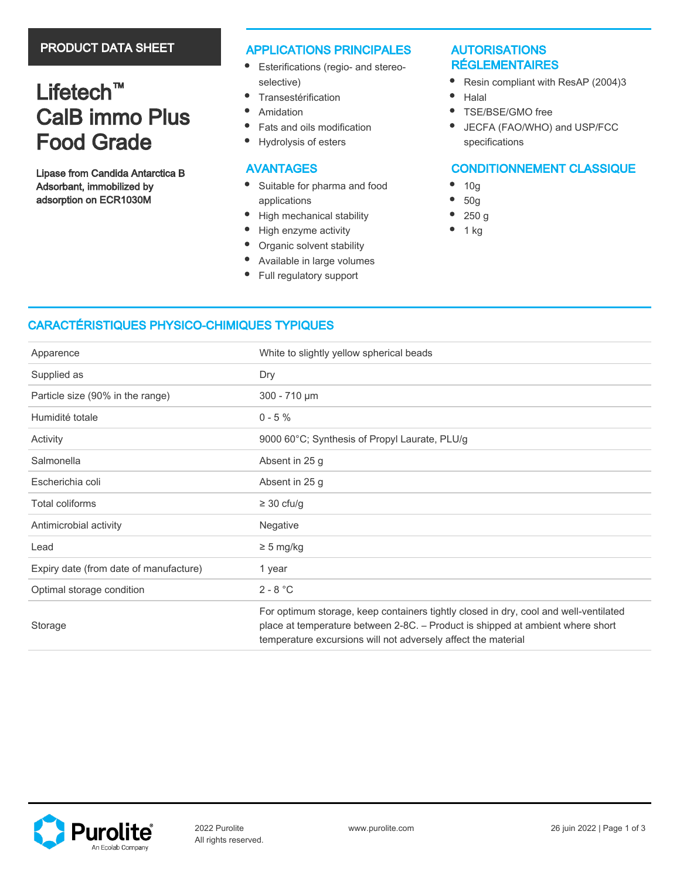# PRODUCT DATA SHEET

# Lifetech<sup>™</sup> CalB immo Plus Food Grade

Lipase from Candida Antarctica B Adsorbant, immobilized by adsorption on ECR1030M

## APPLICATIONS PRINCIPALES

- $\bullet$ Esterifications (regio- and stereoselective)
- $\bullet$ **Transestérification**
- $\bullet$ Amidation
- $\bullet$ Fats and oils modification
- $\bullet$ Hydrolysis of esters

# AVANTAGES

- $\bullet$ Suitable for pharma and food applications
- $\bullet$ High mechanical stability
- $\bullet$ High enzyme activity
- $\bullet$ Organic solvent stability
- $\bullet$ Available in large volumes
- $\bullet$ Full regulatory support

# AUTORISATIONS RÉGLEMENTAIRES

- $\bullet$ Resin compliant with ResAP (2004)3
- $\bullet$ Halal
- $\bullet$ TSE/BSE/GMO free
- $\bullet$ JECFA (FAO/WHO) and USP/FCC specifications

# CONDITIONNEMENT CLASSIQUE

- $\bullet$ 10g
- 50g
- 250 g
- 1 kg

# CARACTÉRISTIQUES PHYSICO-CHIMIQUES TYPIQUES

| Apparence                              | White to slightly yellow spherical beads                                                                                                                                                                                                |
|----------------------------------------|-----------------------------------------------------------------------------------------------------------------------------------------------------------------------------------------------------------------------------------------|
| Supplied as                            | Dry                                                                                                                                                                                                                                     |
| Particle size (90% in the range)       | 300 - 710 µm                                                                                                                                                                                                                            |
| Humidité totale                        | $0 - 5 \%$                                                                                                                                                                                                                              |
| Activity                               | 9000 60°C; Synthesis of Propyl Laurate, PLU/g                                                                                                                                                                                           |
| Salmonella                             | Absent in 25 g                                                                                                                                                                                                                          |
| Escherichia coli                       | Absent in 25 g                                                                                                                                                                                                                          |
| Total coliforms                        | $\geq$ 30 cfu/g                                                                                                                                                                                                                         |
| Antimicrobial activity                 | Negative                                                                                                                                                                                                                                |
| Lead                                   | $\geq$ 5 mg/kg                                                                                                                                                                                                                          |
| Expiry date (from date of manufacture) | 1 year                                                                                                                                                                                                                                  |
| Optimal storage condition              | $2 - 8 °C$                                                                                                                                                                                                                              |
| Storage                                | For optimum storage, keep containers tightly closed in dry, cool and well-ventilated<br>place at temperature between 2-8C. - Product is shipped at ambient where short<br>temperature excursions will not adversely affect the material |

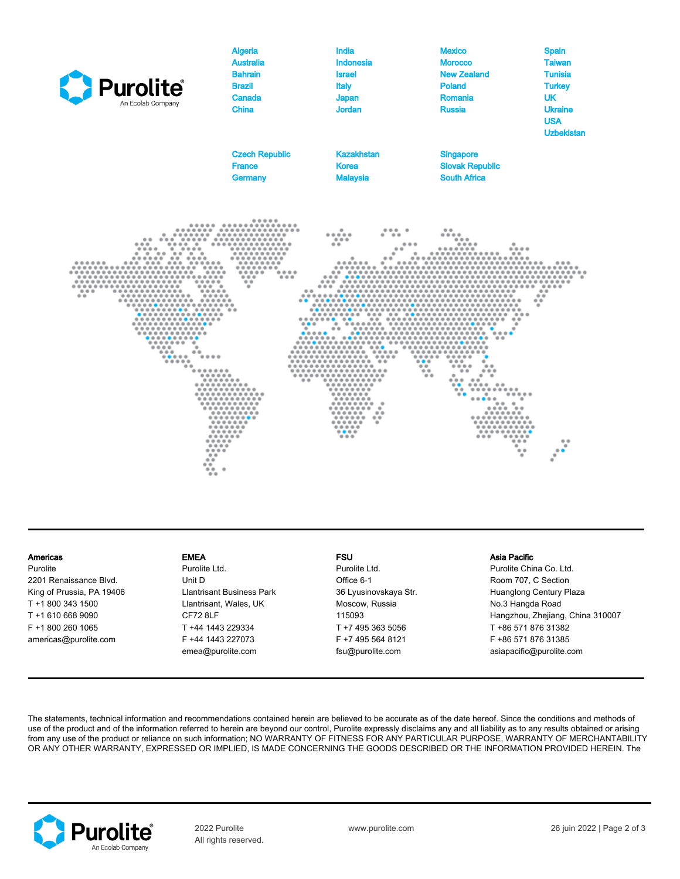

### Americas

Purolite 2201 Renaissance Blvd. King of Prussia, PA 19406 T +1 800 343 1500 T +1 610 668 9090 F +1 800 260 1065 americas@purolite.com

### EMEA

Purolite Ltd. Unit D Llantrisant Business Park Llantrisant, Wales, UK CF72 8LF T +44 1443 229334 F +44 1443 227073 emea@purolite.com

### FSU

Purolite Ltd. Office 6-1 36 Lyusinovskaya Str. Moscow, Russia 115093 T +7 495 363 5056 F +7 495 564 8121 fsu@purolite.com

### Asia Pacific

Purolite China Co. Ltd. Room 707, C Section Huanglong Century Plaza No.3 Hangda Road Hangzhou, Zhejiang, China 310007 T +86 571 876 31382 F +86 571 876 31385 asiapacific@purolite.com

The statements, technical information and recommendations contained herein are believed to be accurate as of the date hereof. Since the conditions and methods of use of the product and of the information referred to herein are beyond our control, Purolite expressly disclaims any and all liability as to any results obtained or arising from any use of the product or reliance on such information; NO WARRANTY OF FITNESS FOR ANY PARTICULAR PURPOSE, WARRANTY OF MERCHANTABILITY OR ANY OTHER WARRANTY, EXPRESSED OR IMPLIED, IS MADE CONCERNING THE GOODS DESCRIBED OR THE INFORMATION PROVIDED HEREIN. The